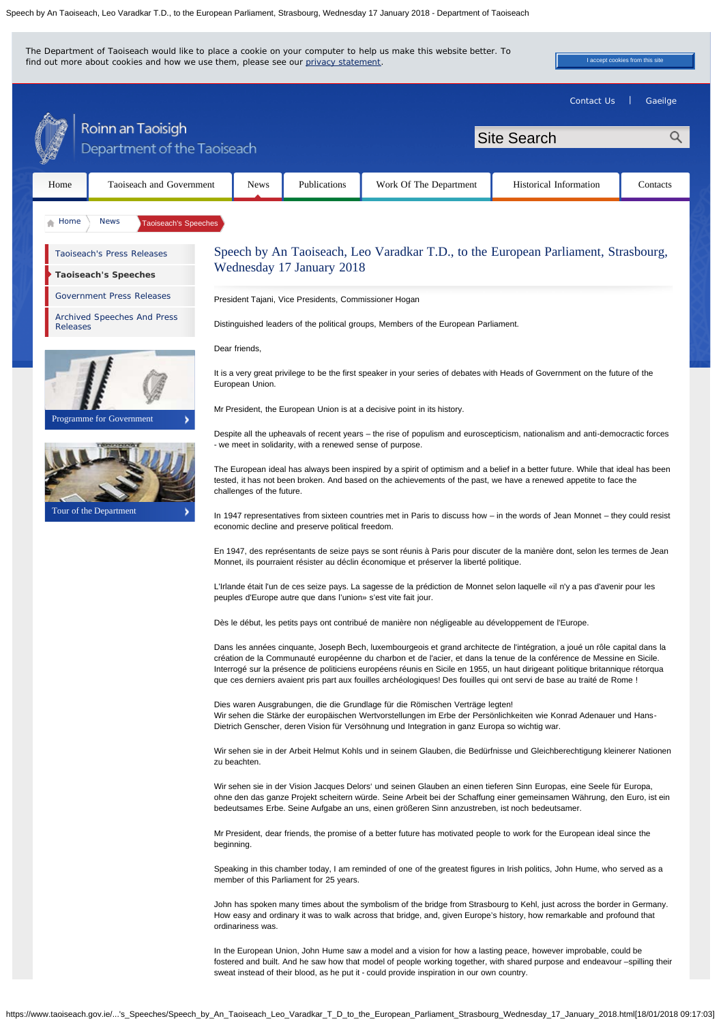Speech by An Taoiseach, Leo Varadkar T.D., to the European Parliament, Strasbourg, Wednesday 17 January 2018 - Department of Taoiseach

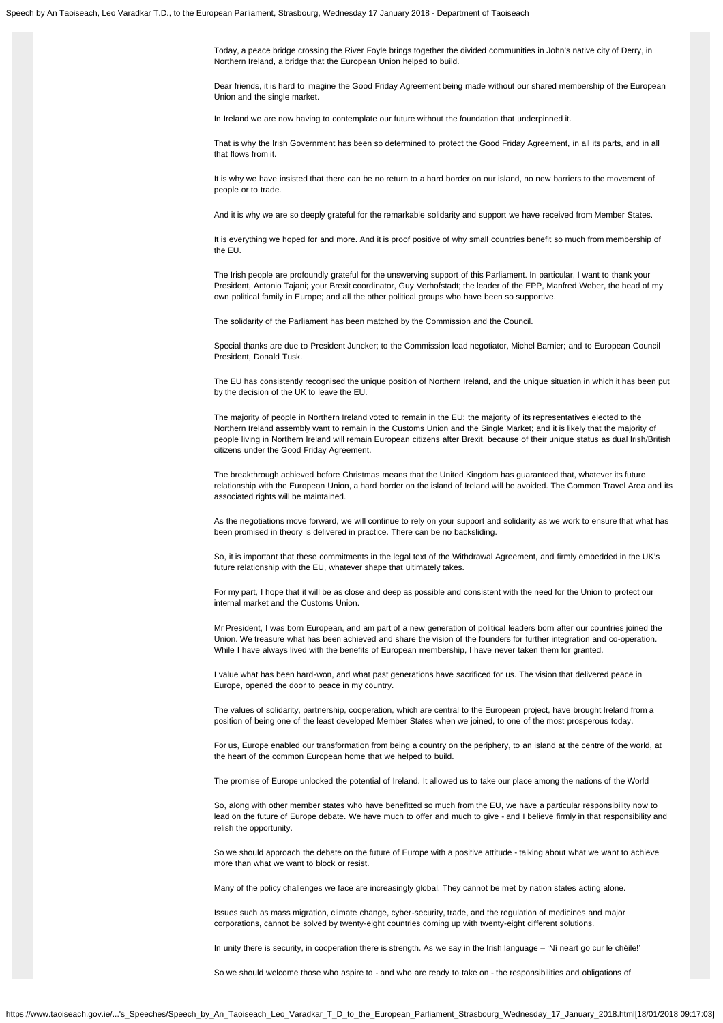Today, a peace bridge crossing the River Foyle brings together the divided communities in John's native city of Derry, in Northern Ireland, a bridge that the European Union helped to build.

Dear friends, it is hard to imagine the Good Friday Agreement being made without our shared membership of the European Union and the single market.

In Ireland we are now having to contemplate our future without the foundation that underpinned it.

That is why the Irish Government has been so determined to protect the Good Friday Agreement, in all its parts, and in all that flows from it.

It is why we have insisted that there can be no return to a hard border on our island, no new barriers to the movement of people or to trade.

And it is why we are so deeply grateful for the remarkable solidarity and support we have received from Member States.

It is everything we hoped for and more. And it is proof positive of why small countries benefit so much from membership of the EU.

The Irish people are profoundly grateful for the unswerving support of this Parliament. In particular, I want to thank your President, Antonio Tajani; your Brexit coordinator, Guy Verhofstadt; the leader of the EPP, Manfred Weber, the head of my own political family in Europe; and all the other political groups who have been so supportive.

The solidarity of the Parliament has been matched by the Commission and the Council.

Special thanks are due to President Juncker; to the Commission lead negotiator, Michel Barnier; and to European Council President, Donald Tusk.

The EU has consistently recognised the unique position of Northern Ireland, and the unique situation in which it has been put by the decision of the UK to leave the EU.

The majority of people in Northern Ireland voted to remain in the EU; the majority of its representatives elected to the Northern Ireland assembly want to remain in the Customs Union and the Single Market; and it is likely that the majority of people living in Northern Ireland will remain European citizens after Brexit, because of their unique status as dual Irish/British citizens under the Good Friday Agreement.

The breakthrough achieved before Christmas means that the United Kingdom has guaranteed that, whatever its future relationship with the European Union, a hard border on the island of Ireland will be avoided. The Common Travel Area and its associated rights will be maintained.

As the negotiations move forward, we will continue to rely on your support and solidarity as we work to ensure that what has been promised in theory is delivered in practice. There can be no backsliding.

So, it is important that these commitments in the legal text of the Withdrawal Agreement, and firmly embedded in the UK's future relationship with the EU, whatever shape that ultimately takes.

For my part, I hope that it will be as close and deep as possible and consistent with the need for the Union to protect our internal market and the Customs Union.

Mr President, I was born European, and am part of a new generation of political leaders born after our countries joined the Union. We treasure what has been achieved and share the vision of the founders for further integration and co-operation. While I have always lived with the benefits of European membership, I have never taken them for granted.

I value what has been hard-won, and what past generations have sacrificed for us. The vision that delivered peace in Europe, opened the door to peace in my country.

The values of solidarity, partnership, cooperation, which are central to the European project, have brought Ireland from a position of being one of the least developed Member States when we joined, to one of the most prosperous today.

For us, Europe enabled our transformation from being a country on the periphery, to an island at the centre of the world, at the heart of the common European home that we helped to build.

The promise of Europe unlocked the potential of Ireland. It allowed us to take our place among the nations of the World

So, along with other member states who have benefitted so much from the EU, we have a particular responsibility now to lead on the future of Europe debate. We have much to offer and much to give - and I believe firmly in that responsibility and relish the opportunity.

So we should approach the debate on the future of Europe with a positive attitude - talking about what we want to achieve more than what we want to block or resist.

Many of the policy challenges we face are increasingly global. They cannot be met by nation states acting alone.

Issues such as mass migration, climate change, cyber-security, trade, and the regulation of medicines and major corporations, cannot be solved by twenty-eight countries coming up with twenty-eight different solutions.

In unity there is security, in cooperation there is strength. As we say in the Irish language – 'Ní neart go cur le chéile!'

So we should welcome those who aspire to - and who are ready to take on - the responsibilities and obligations of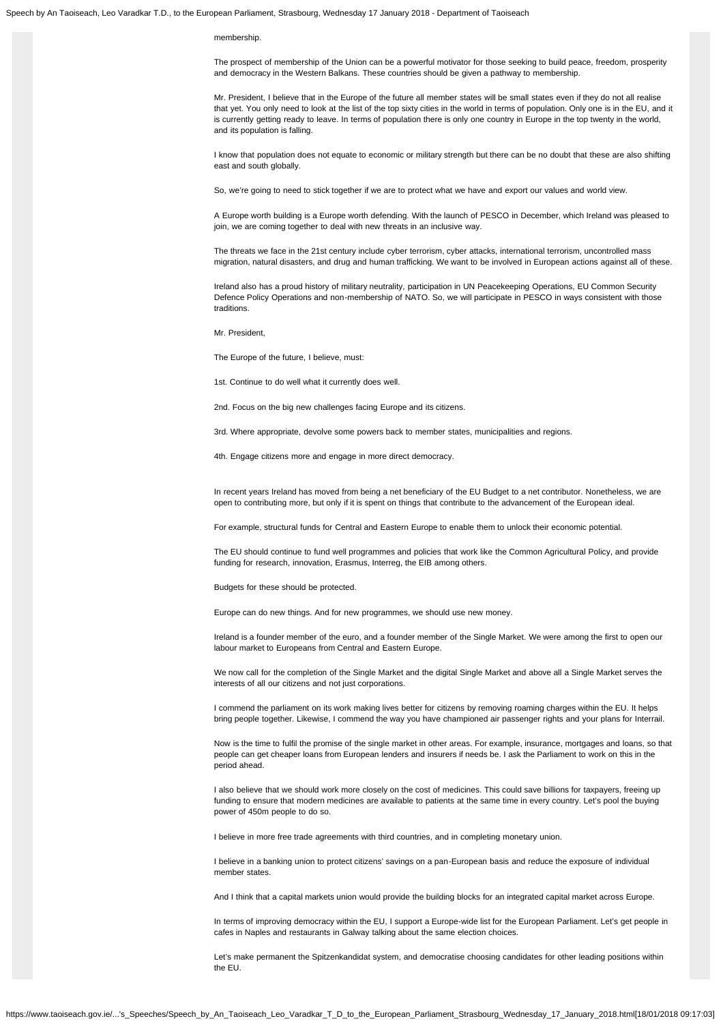Speech by An Taoiseach, Leo Varadkar T.D., to the European Parliament, Strasbourg, Wednesday 17 January 2018 - Department of Taoiseach

#### membership.

The prospect of membership of the Union can be a powerful motivator for those seeking to build peace, freedom, prosperity and democracy in the Western Balkans. These countries should be given a pathway to membership.

Mr. President, I believe that in the Europe of the future all member states will be small states even if they do not all realise that yet. You only need to look at the list of the top sixty cities in the world in terms of population. Only one is in the EU, and it is currently getting ready to leave. In terms of population there is only one country in Europe in the top twenty in the world, and its population is falling.

I know that population does not equate to economic or military strength but there can be no doubt that these are also shifting east and south globally.

So, we're going to need to stick together if we are to protect what we have and export our values and world view.

A Europe worth building is a Europe worth defending. With the launch of PESCO in December, which Ireland was pleased to join, we are coming together to deal with new threats in an inclusive way.

The threats we face in the 21st century include cyber terrorism, cyber attacks, international terrorism, uncontrolled mass migration, natural disasters, and drug and human trafficking. We want to be involved in European actions against all of these.

Ireland also has a proud history of military neutrality, participation in UN Peacekeeping Operations, EU Common Security Defence Policy Operations and non-membership of NATO. So, we will participate in PESCO in ways consistent with those traditions.

Mr. President,

The Europe of the future, I believe, must:

1st. Continue to do well what it currently does well.

2nd. Focus on the big new challenges facing Europe and its citizens.

3rd. Where appropriate, devolve some powers back to member states, municipalities and regions.

4th. Engage citizens more and engage in more direct democracy.

In recent years Ireland has moved from being a net beneficiary of the EU Budget to a net contributor. Nonetheless, we are open to contributing more, but only if it is spent on things that contribute to the advancement of the European ideal.

For example, structural funds for Central and Eastern Europe to enable them to unlock their economic potential.

The EU should continue to fund well programmes and policies that work like the Common Agricultural Policy, and provide funding for research, innovation, Erasmus, Interreg, the EIB among others.

Budgets for these should be protected.

Europe can do new things. And for new programmes, we should use new money.

Ireland is a founder member of the euro, and a founder member of the Single Market. We were among the first to open our labour market to Europeans from Central and Eastern Europe.

We now call for the completion of the Single Market and the digital Single Market and above all a Single Market serves the interests of all our citizens and not just corporations.

I commend the parliament on its work making lives better for citizens by removing roaming charges within the EU. It helps bring people together. Likewise, I commend the way you have championed air passenger rights and your plans for Interrail.

Now is the time to fulfil the promise of the single market in other areas. For example, insurance, mortgages and loans, so that people can get cheaper loans from European lenders and insurers if needs be. I ask the Parliament to work on this in the period ahead.

I also believe that we should work more closely on the cost of medicines. This could save billions for taxpayers, freeing up funding to ensure that modern medicines are available to patients at the same time in every country. Let's pool the buying power of 450m people to do so.

I believe in more free trade agreements with third countries, and in completing monetary union.

I believe in a banking union to protect citizens' savings on a pan-European basis and reduce the exposure of individual member states.

And I think that a capital markets union would provide the building blocks for an integrated capital market across Europe.

In terms of improving democracy within the EU, I support a Europe-wide list for the European Parliament. Let's get people in cafes in Naples and restaurants in Galway talking about the same election choices.

Let's make permanent the Spitzenkandidat system, and democratise choosing candidates for other leading positions within the EU.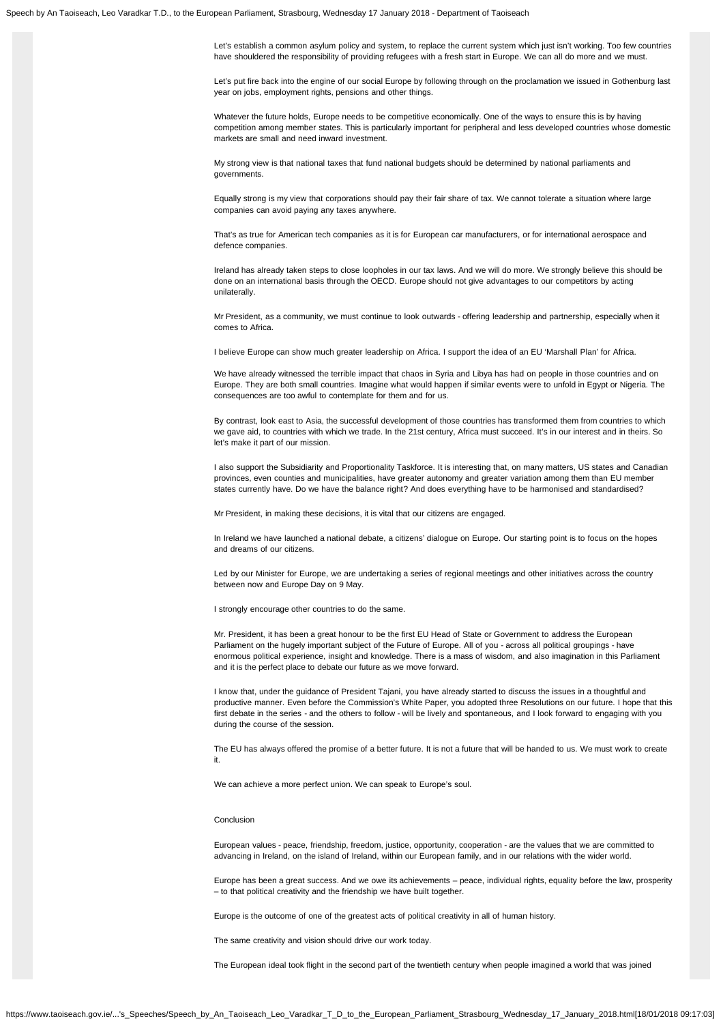Let's establish a common asylum policy and system, to replace the current system which just isn't working. Too few countries have shouldered the responsibility of providing refugees with a fresh start in Europe. We can all do more and we must.

Let's put fire back into the engine of our social Europe by following through on the proclamation we issued in Gothenburg last year on jobs, employment rights, pensions and other things.

Whatever the future holds, Europe needs to be competitive economically. One of the ways to ensure this is by having competition among member states. This is particularly important for peripheral and less developed countries whose domestic markets are small and need inward investment.

My strong view is that national taxes that fund national budgets should be determined by national parliaments and governments.

Equally strong is my view that corporations should pay their fair share of tax. We cannot tolerate a situation where large companies can avoid paying any taxes anywhere.

That's as true for American tech companies as it is for European car manufacturers, or for international aerospace and defence companies.

Ireland has already taken steps to close loopholes in our tax laws. And we will do more. We strongly believe this should be done on an international basis through the OECD. Europe should not give advantages to our competitors by acting unilaterally.

Mr President, as a community, we must continue to look outwards - offering leadership and partnership, especially when it comes to Africa.

I believe Europe can show much greater leadership on Africa. I support the idea of an EU 'Marshall Plan' for Africa.

We have already witnessed the terrible impact that chaos in Syria and Libya has had on people in those countries and on Europe. They are both small countries. Imagine what would happen if similar events were to unfold in Egypt or Nigeria. The consequences are too awful to contemplate for them and for us.

By contrast, look east to Asia, the successful development of those countries has transformed them from countries to which we gave aid, to countries with which we trade. In the 21st century, Africa must succeed. It's in our interest and in theirs. So let's make it part of our mission.

I also support the Subsidiarity and Proportionality Taskforce. It is interesting that, on many matters, US states and Canadian provinces, even counties and municipalities, have greater autonomy and greater variation among them than EU member states currently have. Do we have the balance right? And does everything have to be harmonised and standardised?

Mr President, in making these decisions, it is vital that our citizens are engaged.

In Ireland we have launched a national debate, a citizens' dialogue on Europe. Our starting point is to focus on the hopes and dreams of our citizens.

Led by our Minister for Europe, we are undertaking a series of regional meetings and other initiatives across the country between now and Europe Day on 9 May.

I strongly encourage other countries to do the same.

Mr. President, it has been a great honour to be the first EU Head of State or Government to address the European Parliament on the hugely important subject of the Future of Europe. All of you - across all political groupings - have enormous political experience, insight and knowledge. There is a mass of wisdom, and also imagination in this Parliament and it is the perfect place to debate our future as we move forward.

I know that, under the guidance of President Tajani, you have already started to discuss the issues in a thoughtful and productive manner. Even before the Commission's White Paper, you adopted three Resolutions on our future. I hope that this first debate in the series - and the others to follow - will be lively and spontaneous, and I look forward to engaging with you during the course of the session.

The EU has always offered the promise of a better future. It is not a future that will be handed to us. We must work to create it.

We can achieve a more perfect union. We can speak to Europe's soul.

### Conclusion

European values - peace, friendship, freedom, justice, opportunity, cooperation - are the values that we are committed to advancing in Ireland, on the island of Ireland, within our European family, and in our relations with the wider world.

Europe has been a great success. And we owe its achievements – peace, individual rights, equality before the law, prosperity – to that political creativity and the friendship we have built together.

Europe is the outcome of one of the greatest acts of political creativity in all of human history.

The same creativity and vision should drive our work today.

The European ideal took flight in the second part of the twentieth century when people imagined a world that was joined